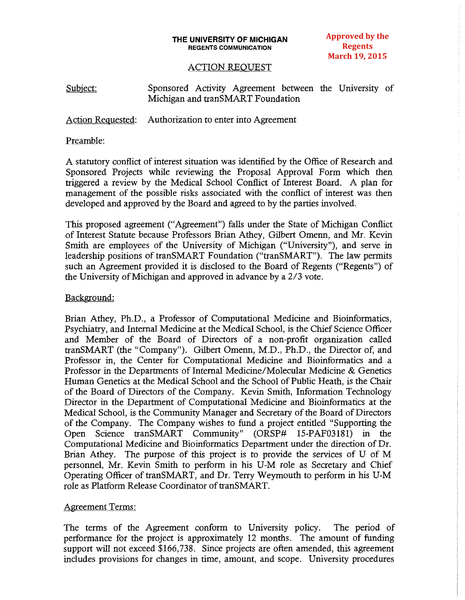#### **THE UNIVERSITY OF MICHIGAN REGENTS COMMUNICATION**

**Approved by the Regents March 19, 2015**

#### ACTION REQUEST

Subject: Sponsored Activity Agreement between the University of Michigan and tranSMART Foundation

Action Requested: Authorization to enter into Agreement

## Preamble:

A statutory conflict of interest situation was identified by the Office of Research and Sponsored Projects while reviewing the Proposal Approval Form which then triggered a review by the Medical School Conflict of Interest Board. A plan for management of the possible risks associated with the conflict of interest was then developed and approved by the Board and agreed to by the parties involved.

This proposed agreement ("Agreement") falls under the State of Michigan Conflict of Interest Statute because Professors Brian Athey, Gilbert Omenn, and Mr. Kevin Smith are employees of the University of Michigan ("University"), and serve in leadership positions of tranSMART Foundation ("tranSMART"). The law permits such an Agreement provided it is disclosed to the Board of Regents ("Regents") of the University of Michigan and approved in advance by a 2/3 vote.

## Background:

Brian Athey, Ph.D., a Professor of Computational Medicine and Bioinformatics, Psychiatry, and Internal Medicine at the Medical School, is the Chief Science Officer and Member of the Board of Directors of a non-profit organization called tranSMART (the "Company"). Gilbert Omenn, M.D., Ph.D., the Director of, and Professor in, the Center for Computational Medicine and Bioinformatics and a Professor in the Departments of Internal Medicine/Molecular Medicine & Genetics Human Genetics at the Medical School and the School of Public Heath, is the Chair of the Board of Directors of the Company. Kevin Smith, Information Technology Director in the Department of Computational Medicine and Bioinformatics at the Medical School, is the Community Manager and Secretary of the Board of Directors of the Company. The Company wishes to fund a project entitled "Supporting the Open Science tranSMART Community" (ORSP# l5-PAF0318l) in the Computational Medicine and Bioinformatics Department under the direction of Dr. Brian Athey. The purpose of this project is to provide the services of U of M personnel, Mr. Kevin Smith to perform in his U-M role as Secretary and Chief Operating Officer of tranSMART, and Dr. Terry Weymouth to perform in his U-M role as Platform Release Coordinator of tranSMART.

## Agreement Terms:

The terms of the Agreement conform to University policy. The period of performance for the project is approximately 12 months. The amount of funding support will not exceed \$166,738. Since projects are often amended, this agreement includes provisions for changes in time, amount, and scope. University procedures